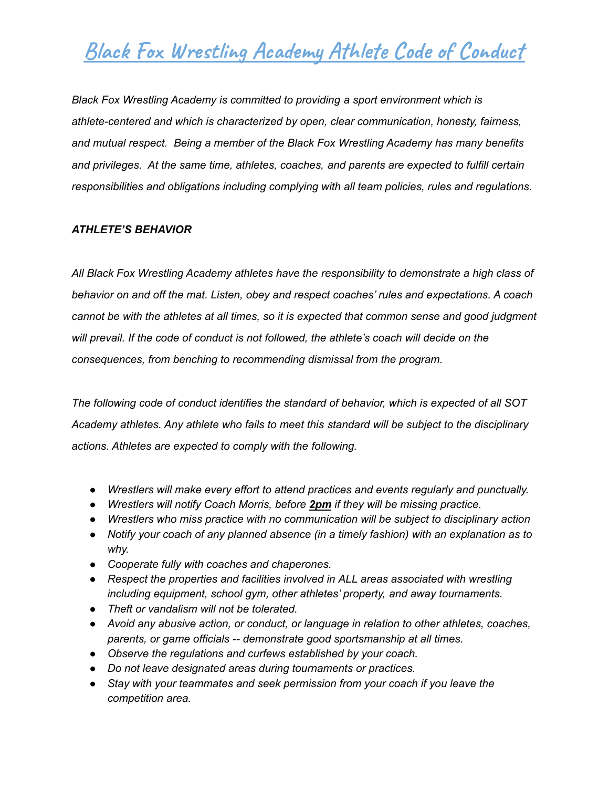**Black Fox Wrestling Academy Athlete Code of Conduct**

*Black Fox Wrestling Academy is committed to providing a sport environment which is athlete-centered and which is characterized by open, clear communication, honesty, fairness, and mutual respect. Being a member of the Black Fox Wrestling Academy has many benefits and privileges. At the same time, athletes, coaches, and parents are expected to fulfill certain responsibilities and obligations including complying with all team policies, rules and regulations.*

## *ATHLETE'S BEHAVIOR*

*All Black Fox Wrestling Academy athletes have the responsibility to demonstrate a high class of behavior on and off the mat. Listen, obey and respect coaches' rules and expectations. A coach cannot be with the athletes at all times, so it is expected that common sense and good judgment will prevail. If the code of conduct is not followed, the athlete's coach will decide on the consequences, from benching to recommending dismissal from the program.*

*The following code of conduct identifies the standard of behavior, which is expected of all SOT Academy athletes. Any athlete who fails to meet this standard will be subject to the disciplinary actions. Athletes are expected to comply with the following.*

- *● Wrestlers will make every effort to attend practices and events regularly and punctually.*
- *● Wrestlers will notify Coach Morris, before 2pm if they will be missing practice.*
- *● Wrestlers who miss practice with no communication will be subject to disciplinary action*
- *● Notify your coach of any planned absence (in a timely fashion) with an explanation as to why.*
- *● Cooperate fully with coaches and chaperones.*
- *● Respect the properties and facilities involved in ALL areas associated with wrestling including equipment, school gym, other athletes' property, and away tournaments.*
- *● Theft or vandalism will not be tolerated.*
- *● Avoid any abusive action, or conduct, or language in relation to other athletes, coaches, parents, or game officials -- demonstrate good sportsmanship at all times.*
- *● Observe the regulations and curfews established by your coach.*
- *● Do not leave designated areas during tournaments or practices.*
- *● Stay with your teammates and seek permission from your coach if you leave the competition area.*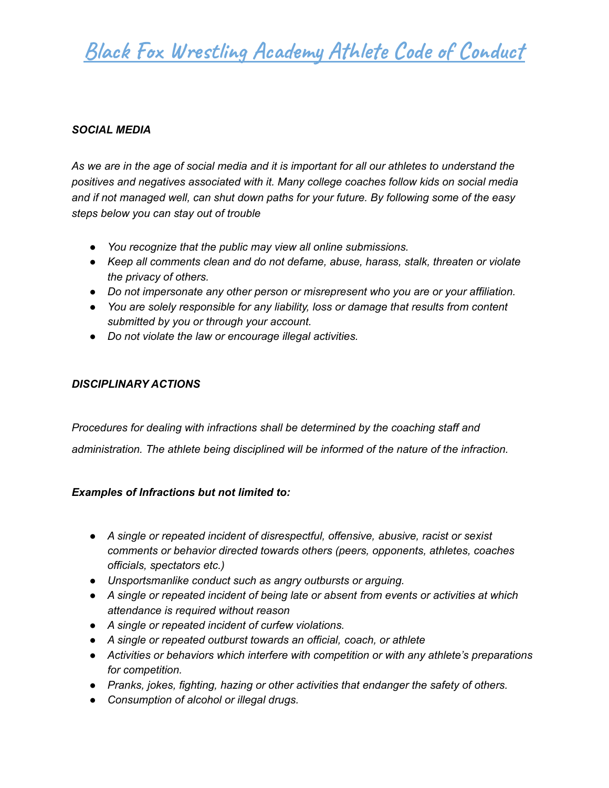**Black Fox Wrestling Academy Athlete Code of Conduct**

## *SOCIAL MEDIA*

As we are in the age of social media and it is important for all our athletes to understand the *positives and negatives associated with it. Many college coaches follow kids on social media and if not managed well, can shut down paths for your future. By following some of the easy steps below you can stay out of trouble*

- *● You recognize that the public may view all online submissions.*
- *● Keep all comments clean and do not defame, abuse, harass, stalk, threaten or violate the privacy of others.*
- *● Do not impersonate any other person or misrepresent who you are or your affiliation.*
- *● You are solely responsible for any liability, loss or damage that results from content submitted by you or through your account.*
- *● Do not violate the law or encourage illegal activities.*

## *DISCIPLINARY ACTIONS*

*Procedures for dealing with infractions shall be determined by the coaching staff and administration. The athlete being disciplined will be informed of the nature of the infraction.*

## *Examples of Infractions but not limited to:*

- *● A single or repeated incident of disrespectful, offensive, abusive, racist or sexist comments or behavior directed towards others (peers, opponents, athletes, coaches officials, spectators etc.)*
- *● Unsportsmanlike conduct such as angry outbursts or arguing.*
- *● A single or repeated incident of being late or absent from events or activities at which attendance is required without reason*
- *● A single or repeated incident of curfew violations.*
- *● A single or repeated outburst towards an official, coach, or athlete*
- *● Activities or behaviors which interfere with competition or with any athlete's preparations for competition.*
- *● Pranks, jokes, fighting, hazing or other activities that endanger the safety of others.*
- *● Consumption of alcohol or illegal drugs.*